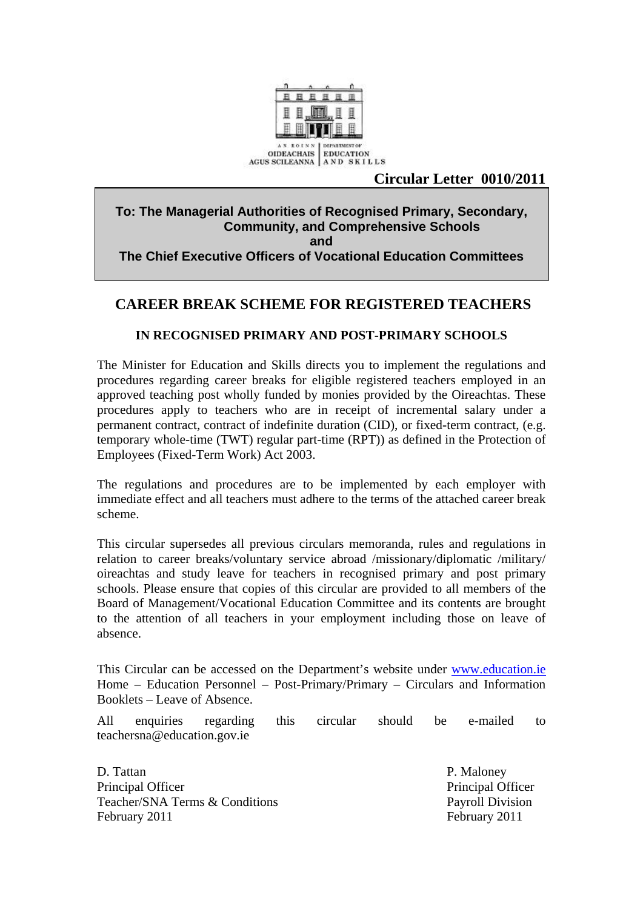

# AGUS SCILEANNA | A N D SKILLS<br>**Circular Letter 0010/2011**

#### **To: The Managerial Authorities of Recognised Primary, Secondary, Community, and Comprehensive Schools and The Chief Executive Officers of Vocational Education Committees**

# **CAREER BREAK SCHEME FOR REGISTERED TEACHERS**

#### **IN RECOGNISED PRIMARY AND POST-PRIMARY SCHOOLS**

The Minister for Education and Skills directs you to implement the regulations and procedures regarding career breaks for eligible registered teachers employed in an approved teaching post wholly funded by monies provided by the Oireachtas. These procedures apply to teachers who are in receipt of incremental salary under a permanent contract, contract of indefinite duration (CID), or fixed-term contract, (e.g. temporary whole-time (TWT) regular part-time (RPT)) as defined in the Protection of Employees (Fixed-Term Work) Act 2003.

The regulations and procedures are to be implemented by each employer with immediate effect and all teachers must adhere to the terms of the attached career break scheme.

This circular supersedes all previous circulars memoranda, rules and regulations in relation to career breaks/voluntary service abroad /missionary/diplomatic /military/ oireachtas and study leave for teachers in recognised primary and post primary schools. Please ensure that copies of this circular are provided to all members of the Board of Management/Vocational Education Committee and its contents are brought to the attention of all teachers in your employment including those on leave of absence.

This Circular can be accessed on the Department's website under www.education.ie Home – Education Personnel – Post-Primary/Primary – Circulars and Information Booklets – Leave of Absence.

All enquiries regarding this circular should be e-mailed to teachersna@education.gov.ie

D. Tattan P. Maloney Principal Officer Principal Officer Teacher/SNA Terms & Conditions Payroll Division February 2011 February 2011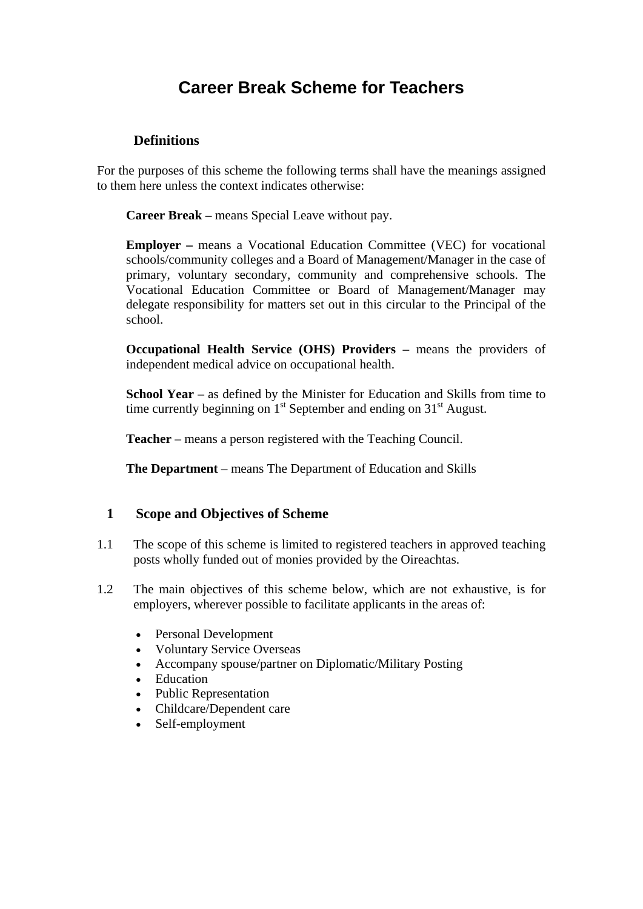# **Career Break Scheme for Teachers**

### **Definitions**

For the purposes of this scheme the following terms shall have the meanings assigned to them here unless the context indicates otherwise:

**Career Break –** means Special Leave without pay.

**Employer –** means a Vocational Education Committee (VEC) for vocational schools/community colleges and a Board of Management/Manager in the case of primary, voluntary secondary, community and comprehensive schools. The Vocational Education Committee or Board of Management/Manager may delegate responsibility for matters set out in this circular to the Principal of the school.

**Occupational Health Service (OHS) Providers – means the providers of** independent medical advice on occupational health.

**School Year** – as defined by the Minister for Education and Skills from time to time currently beginning on  $1<sup>st</sup>$  September and ending on  $31<sup>st</sup>$  August.

**Teacher** – means a person registered with the Teaching Council.

**The Department** – means The Department of Education and Skills

#### **1 Scope and Objectives of Scheme**

- 1.1 The scope of this scheme is limited to registered teachers in approved teaching posts wholly funded out of monies provided by the Oireachtas.
- 1.2 The main objectives of this scheme below, which are not exhaustive, is for employers, wherever possible to facilitate applicants in the areas of:
	- Personal Development
	- Voluntary Service Overseas
	- Accompany spouse/partner on Diplomatic/Military Posting
	- Education
	- Public Representation
	- Childcare/Dependent care
	- Self-employment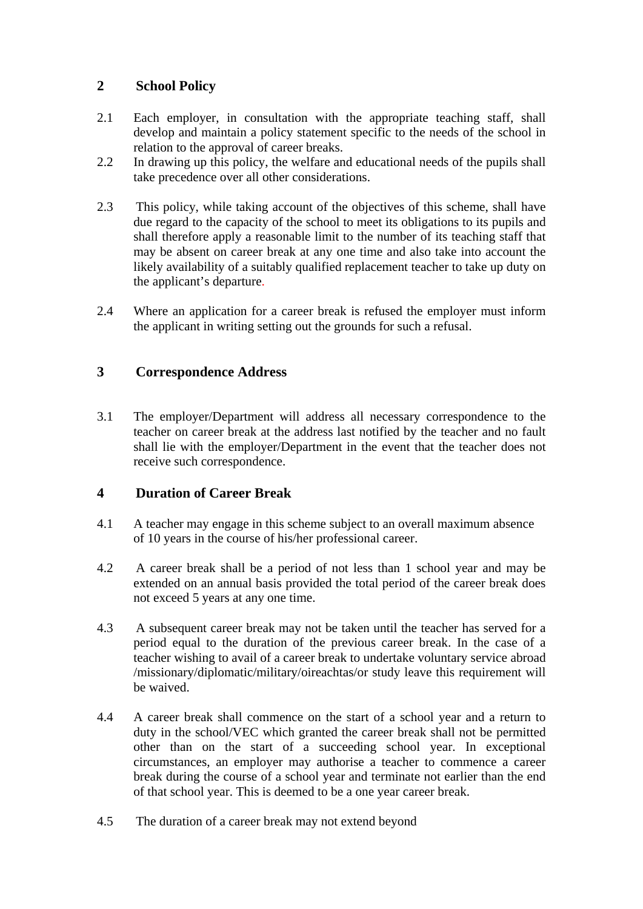# **2 School Policy**

- 2.1 Each employer, in consultation with the appropriate teaching staff, shall develop and maintain a policy statement specific to the needs of the school in relation to the approval of career breaks.
- 2.2 In drawing up this policy, the welfare and educational needs of the pupils shall take precedence over all other considerations.
- 2.3 This policy, while taking account of the objectives of this scheme, shall have due regard to the capacity of the school to meet its obligations to its pupils and shall therefore apply a reasonable limit to the number of its teaching staff that may be absent on career break at any one time and also take into account the likely availability of a suitably qualified replacement teacher to take up duty on the applicant's departure.
- 2.4 Where an application for a career break is refused the employer must inform the applicant in writing setting out the grounds for such a refusal.

# **3 Correspondence Address**

3.1 The employer/Department will address all necessary correspondence to the teacher on career break at the address last notified by the teacher and no fault shall lie with the employer/Department in the event that the teacher does not receive such correspondence.

# **4 Duration of Career Break**

- 4.1 A teacher may engage in this scheme subject to an overall maximum absence of 10 years in the course of his/her professional career.
- 4.2 A career break shall be a period of not less than 1 school year and may be extended on an annual basis provided the total period of the career break does not exceed 5 years at any one time.
- 4.3 A subsequent career break may not be taken until the teacher has served for a period equal to the duration of the previous career break. In the case of a teacher wishing to avail of a career break to undertake voluntary service abroad /missionary/diplomatic/military/oireachtas/or study leave this requirement will be waived.
- 4.4 A career break shall commence on the start of a school year and a return to duty in the school/VEC which granted the career break shall not be permitted other than on the start of a succeeding school year. In exceptional circumstances, an employer may authorise a teacher to commence a career break during the course of a school year and terminate not earlier than the end of that school year. This is deemed to be a one year career break.
- 4.5 The duration of a career break may not extend beyond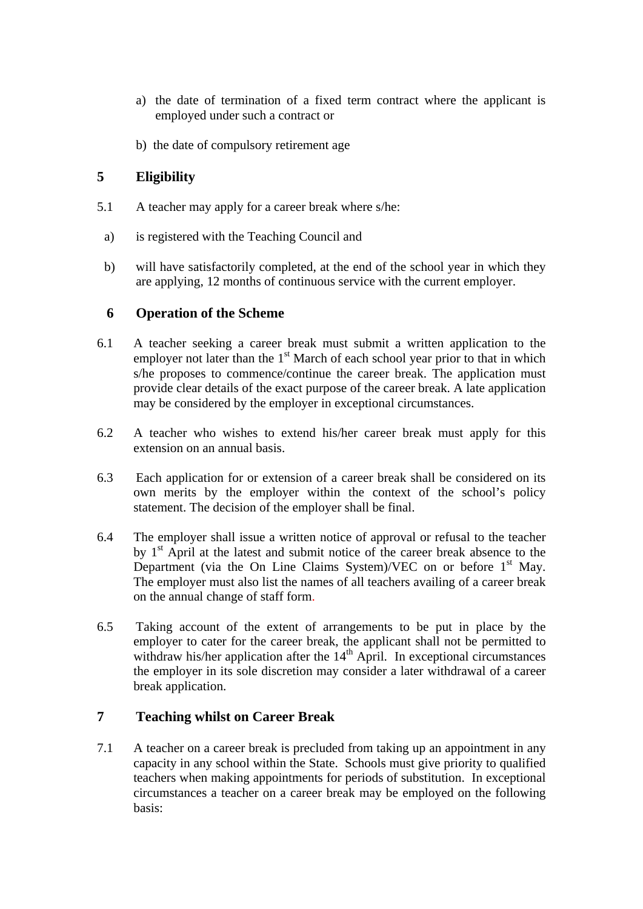- a) the date of termination of a fixed term contract where the applicant is employed under such a contract or
- b) the date of compulsory retirement age

### **5 Eligibility**

- 5.1 A teacher may apply for a career break where s/he:
- a) is registered with the Teaching Council and
- b) will have satisfactorily completed, at the end of the school year in which they are applying, 12 months of continuous service with the current employer.

#### **6 Operation of the Scheme**

- 6.1 A teacher seeking a career break must submit a written application to the employer not later than the  $1<sup>st</sup>$  March of each school year prior to that in which s/he proposes to commence/continue the career break. The application must provide clear details of the exact purpose of the career break. A late application may be considered by the employer in exceptional circumstances.
- 6.2 A teacher who wishes to extend his/her career break must apply for this extension on an annual basis.
- 6.3 Each application for or extension of a career break shall be considered on its own merits by the employer within the context of the school's policy statement. The decision of the employer shall be final.
- 6.4 The employer shall issue a written notice of approval or refusal to the teacher by  $1<sup>st</sup>$  April at the latest and submit notice of the career break absence to the Department (via the On Line Claims System)/VEC on or before  $1<sup>st</sup>$  May. The employer must also list the names of all teachers availing of a career break on the annual change of staff form.
- 6.5 Taking account of the extent of arrangements to be put in place by the employer to cater for the career break, the applicant shall not be permitted to withdraw his/her application after the  $14<sup>th</sup>$  April. In exceptional circumstances the employer in its sole discretion may consider a later withdrawal of a career break application.

# **7 Teaching whilst on Career Break**

7.1 A teacher on a career break is precluded from taking up an appointment in any capacity in any school within the State. Schools must give priority to qualified teachers when making appointments for periods of substitution. In exceptional circumstances a teacher on a career break may be employed on the following basis: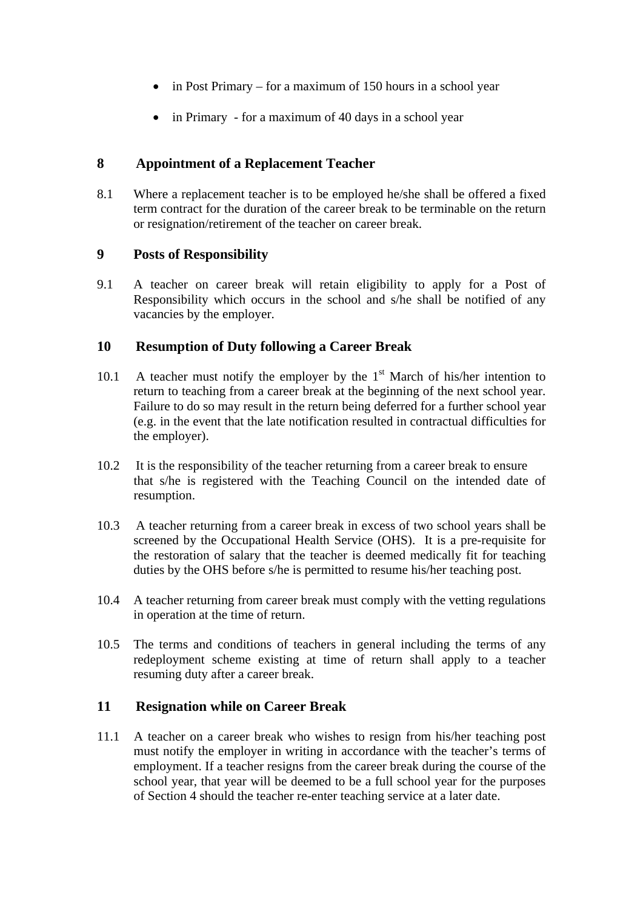- in Post Primary for a maximum of 150 hours in a school year
- in Primary for a maximum of 40 days in a school year

### **8 Appointment of a Replacement Teacher**

8.1 Where a replacement teacher is to be employed he/she shall be offered a fixed term contract for the duration of the career break to be terminable on the return or resignation/retirement of the teacher on career break.

#### **9 Posts of Responsibility**

9.1 A teacher on career break will retain eligibility to apply for a Post of Responsibility which occurs in the school and s/he shall be notified of any vacancies by the employer.

#### **10 Resumption of Duty following a Career Break**

- 10.1 A teacher must notify the employer by the  $1<sup>st</sup>$  March of his/her intention to return to teaching from a career break at the beginning of the next school year. Failure to do so may result in the return being deferred for a further school year (e.g. in the event that the late notification resulted in contractual difficulties for the employer).
- 10.2 It is the responsibility of the teacher returning from a career break to ensure that s/he is registered with the Teaching Council on the intended date of resumption.
- 10.3 A teacher returning from a career break in excess of two school years shall be screened by the Occupational Health Service (OHS). It is a pre-requisite for the restoration of salary that the teacher is deemed medically fit for teaching duties by the OHS before s/he is permitted to resume his/her teaching post.
- 10.4 A teacher returning from career break must comply with the vetting regulations in operation at the time of return.
- 10.5 The terms and conditions of teachers in general including the terms of any redeployment scheme existing at time of return shall apply to a teacher resuming duty after a career break.

#### **11 Resignation while on Career Break**

11.1 A teacher on a career break who wishes to resign from his/her teaching post must notify the employer in writing in accordance with the teacher's terms of employment. If a teacher resigns from the career break during the course of the school year, that year will be deemed to be a full school year for the purposes of Section 4 should the teacher re-enter teaching service at a later date.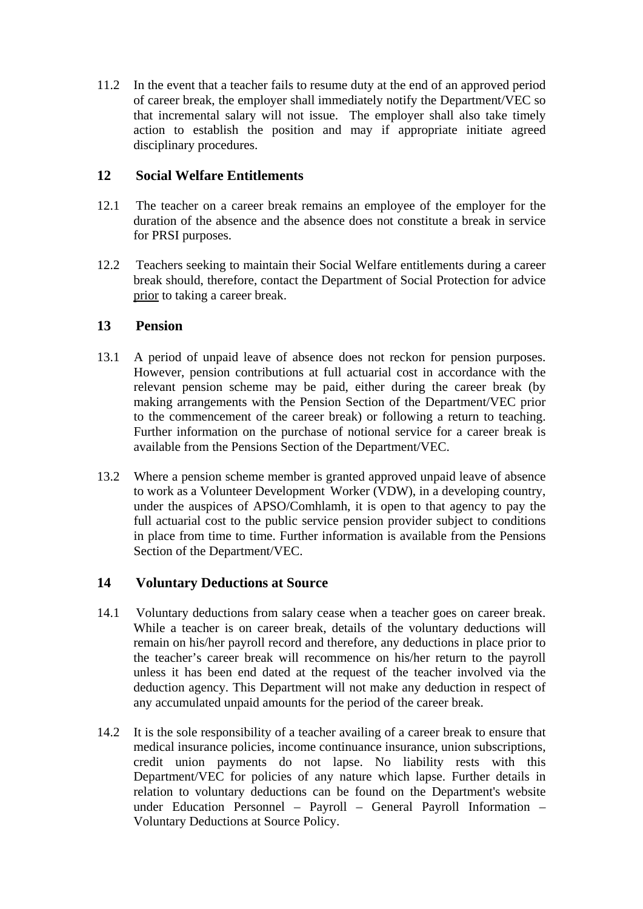11.2 In the event that a teacher fails to resume duty at the end of an approved period of career break, the employer shall immediately notify the Department/VEC so that incremental salary will not issue. The employer shall also take timely action to establish the position and may if appropriate initiate agreed disciplinary procedures.

#### **12 Social Welfare Entitlements**

- 12.1 The teacher on a career break remains an employee of the employer for the duration of the absence and the absence does not constitute a break in service for PRSI purposes.
- 12.2 Teachers seeking to maintain their Social Welfare entitlements during a career break should, therefore, contact the Department of Social Protection for advice prior to taking a career break.

#### **13 Pension**

- 13.1 A period of unpaid leave of absence does not reckon for pension purposes. However, pension contributions at full actuarial cost in accordance with the relevant pension scheme may be paid, either during the career break (by making arrangements with the Pension Section of the Department/VEC prior to the commencement of the career break) or following a return to teaching. Further information on the purchase of notional service for a career break is available from the Pensions Section of the Department/VEC.
- 13.2 Where a pension scheme member is granted approved unpaid leave of absence to work as a Volunteer Development Worker (VDW), in a developing country, under the auspices of APSO/Comhlamh, it is open to that agency to pay the full actuarial cost to the public service pension provider subject to conditions in place from time to time. Further information is available from the Pensions Section of the Department/VEC.

# **14 Voluntary Deductions at Source**

- 14.1 Voluntary deductions from salary cease when a teacher goes on career break. While a teacher is on career break, details of the voluntary deductions will remain on his/her payroll record and therefore, any deductions in place prior to the teacher's career break will recommence on his/her return to the payroll unless it has been end dated at the request of the teacher involved via the deduction agency. This Department will not make any deduction in respect of any accumulated unpaid amounts for the period of the career break.
- 14.2 It is the sole responsibility of a teacher availing of a career break to ensure that medical insurance policies, income continuance insurance, union subscriptions, credit union payments do not lapse. No liability rests with this Department/VEC for policies of any nature which lapse. Further details in relation to voluntary deductions can be found on the Department's website under Education Personnel – Payroll – General Payroll Information – Voluntary Deductions at Source Policy.